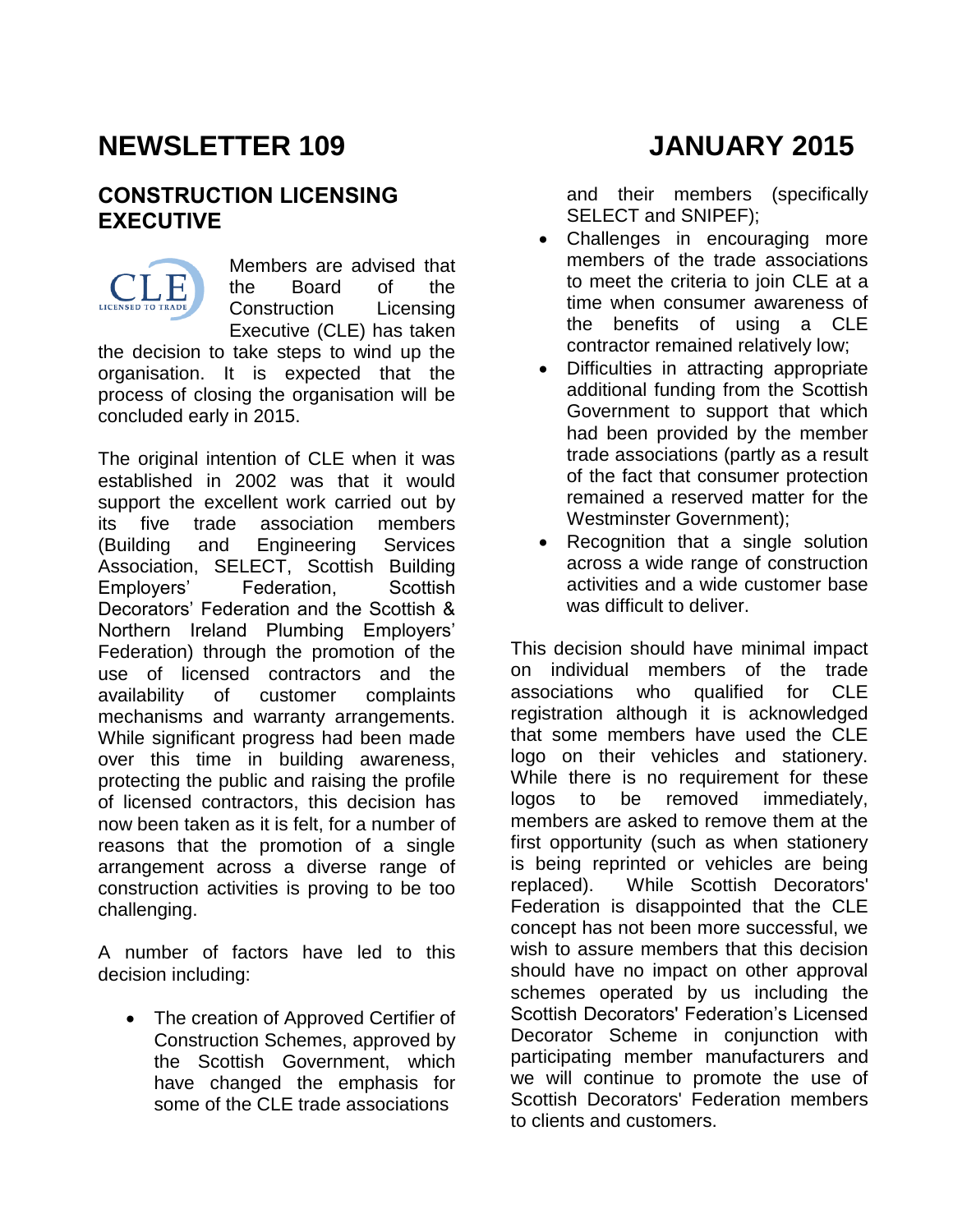# **NEWSLETTER 109 JANUARY 2015**

concluded early in 2015.

#### **CONSTRUCTION LICENSING EXECUTIVE**

Members are advised that the Board of the Construction Licensing Executive (CLE) has taken the decision to take steps to wind up the organisation. It is expected that the process of closing the organisation will be

The original intention of CLE when it was established in 2002 was that it would support the excellent work carried out by its five trade association members (Building and Engineering Services Association, SELECT, Scottish Building Employers' Federation, Scottish Decorators' Federation and the Scottish & Northern Ireland Plumbing Employers' Federation) through the promotion of the use of licensed contractors and the availability of customer complaints mechanisms and warranty arrangements. While significant progress had been made over this time in building awareness, protecting the public and raising the profile of licensed contractors, this decision has now been taken as it is felt, for a number of reasons that the promotion of a single arrangement across a diverse range of construction activities is proving to be too challenging.

A number of factors have led to this decision including:

• The creation of Approved Certifier of Construction Schemes, approved by the Scottish Government, which have changed the emphasis for some of the CLE trade associations

and their members (specifically SELECT and SNIPEF);

- Challenges in encouraging more members of the trade associations to meet the criteria to join CLE at a time when consumer awareness of the benefits of using a CLE contractor remained relatively low;
- Difficulties in attracting appropriate additional funding from the Scottish Government to support that which had been provided by the member trade associations (partly as a result of the fact that consumer protection remained a reserved matter for the Westminster Government);
- Recognition that a single solution across a wide range of construction activities and a wide customer base was difficult to deliver.

This decision should have minimal impact on individual members of the trade associations who qualified for CLE registration although it is acknowledged that some members have used the CLE logo on their vehicles and stationery. While there is no requirement for these logos to be removed immediately, members are asked to remove them at the first opportunity (such as when stationery is being reprinted or vehicles are being replaced). While Scottish Decorators' Federation is disappointed that the CLE concept has not been more successful, we wish to assure members that this decision should have no impact on other approval schemes operated by us including the Scottish Decorators' Federation's Licensed Decorator Scheme in conjunction with participating member manufacturers and we will continue to promote the use of Scottish Decorators' Federation members to clients and customers.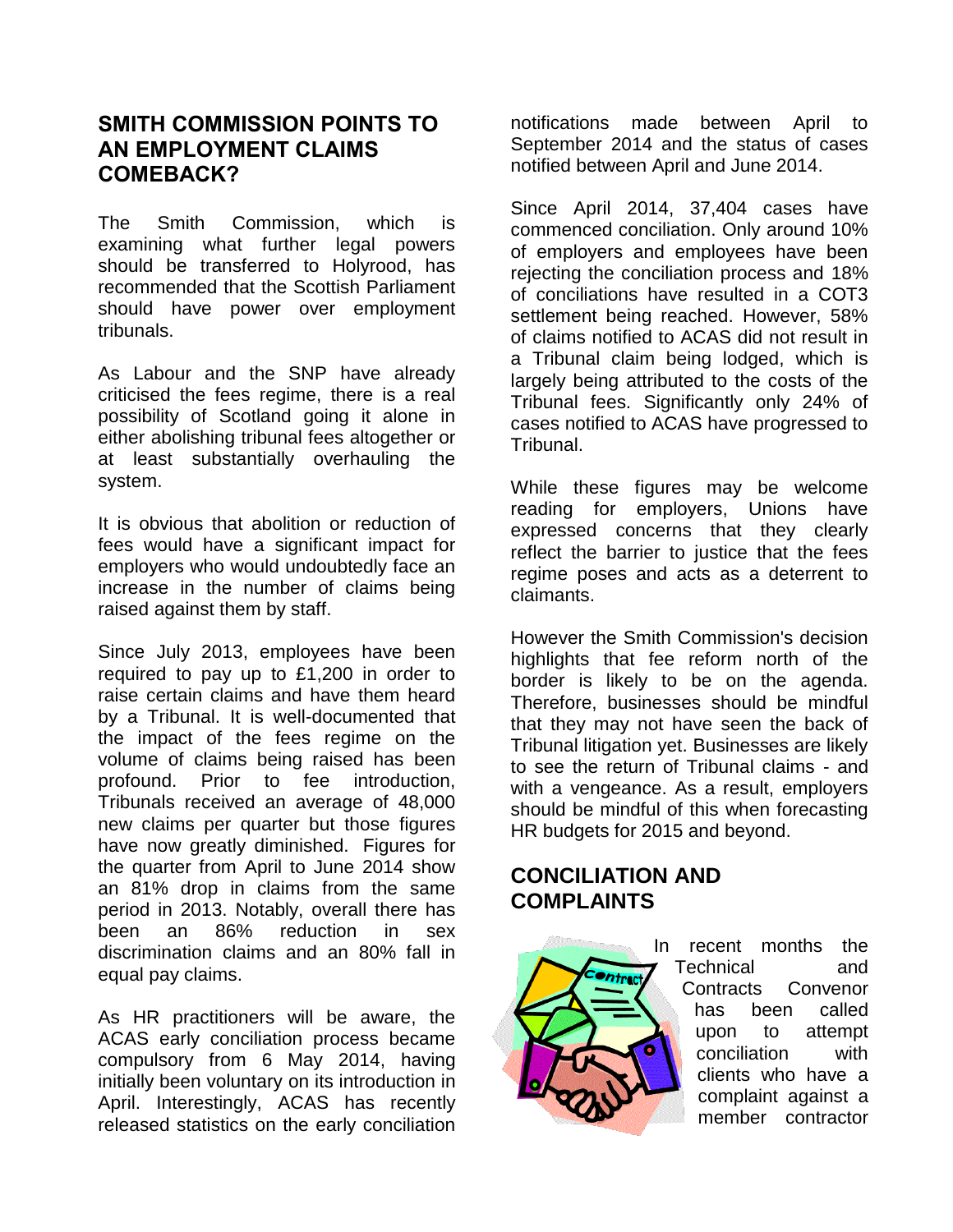#### **SMITH COMMISSION POINTS TO AN EMPLOYMENT CLAIMS COMEBACK?**

The Smith Commission, which is examining what further legal powers should be transferred to Holyrood, has recommended that the Scottish Parliament should have power over employment tribunals.

As Labour and the SNP have already criticised the fees regime, there is a real possibility of Scotland going it alone in either abolishing tribunal fees altogether or at least substantially overhauling the system.

It is obvious that abolition or reduction of fees would have a significant impact for employers who would undoubtedly face an increase in the number of claims being raised against them by staff.

Since July 2013, employees have been required to pay up to £1,200 in order to raise certain claims and have them heard by a Tribunal. It is well-documented that the impact of the fees regime on the volume of claims being raised has been profound. Prior to fee introduction, Tribunals received an average of 48,000 new claims per quarter but those figures have now greatly diminished. Figures for the quarter from April to June 2014 show an 81% drop in claims from the same period in 2013. Notably, overall there has been an 86% reduction in sex discrimination claims and an 80% fall in equal pay claims.

As HR practitioners will be aware, the ACAS early conciliation process became compulsory from 6 May 2014, having initially been voluntary on its introduction in April. Interestingly, ACAS has recently released statistics on the early conciliation notifications made between April to September 2014 and the status of cases notified between April and June 2014.

Since April 2014, 37,404 cases have commenced conciliation. Only around 10% of employers and employees have been rejecting the conciliation process and 18% of conciliations have resulted in a COT3 settlement being reached. However, 58% of claims notified to ACAS did not result in a Tribunal claim being lodged, which is largely being attributed to the costs of the Tribunal fees. Significantly only 24% of cases notified to ACAS have progressed to Tribunal.

While these figures may be welcome reading for employers, Unions have expressed concerns that they clearly reflect the barrier to justice that the fees regime poses and acts as a deterrent to claimants.

However the Smith Commission's decision highlights that fee reform north of the border is likely to be on the agenda. Therefore, businesses should be mindful that they may not have seen the back of Tribunal litigation yet. Businesses are likely to see the return of Tribunal claims - and with a vengeance. As a result, employers should be mindful of this when forecasting HR budgets for 2015 and beyond.

### **CONCILIATION AND COMPLAINTS**



In recent months the Technical and Contracts Convenor has been called upon to attempt conciliation with clients who have a complaint against a member contractor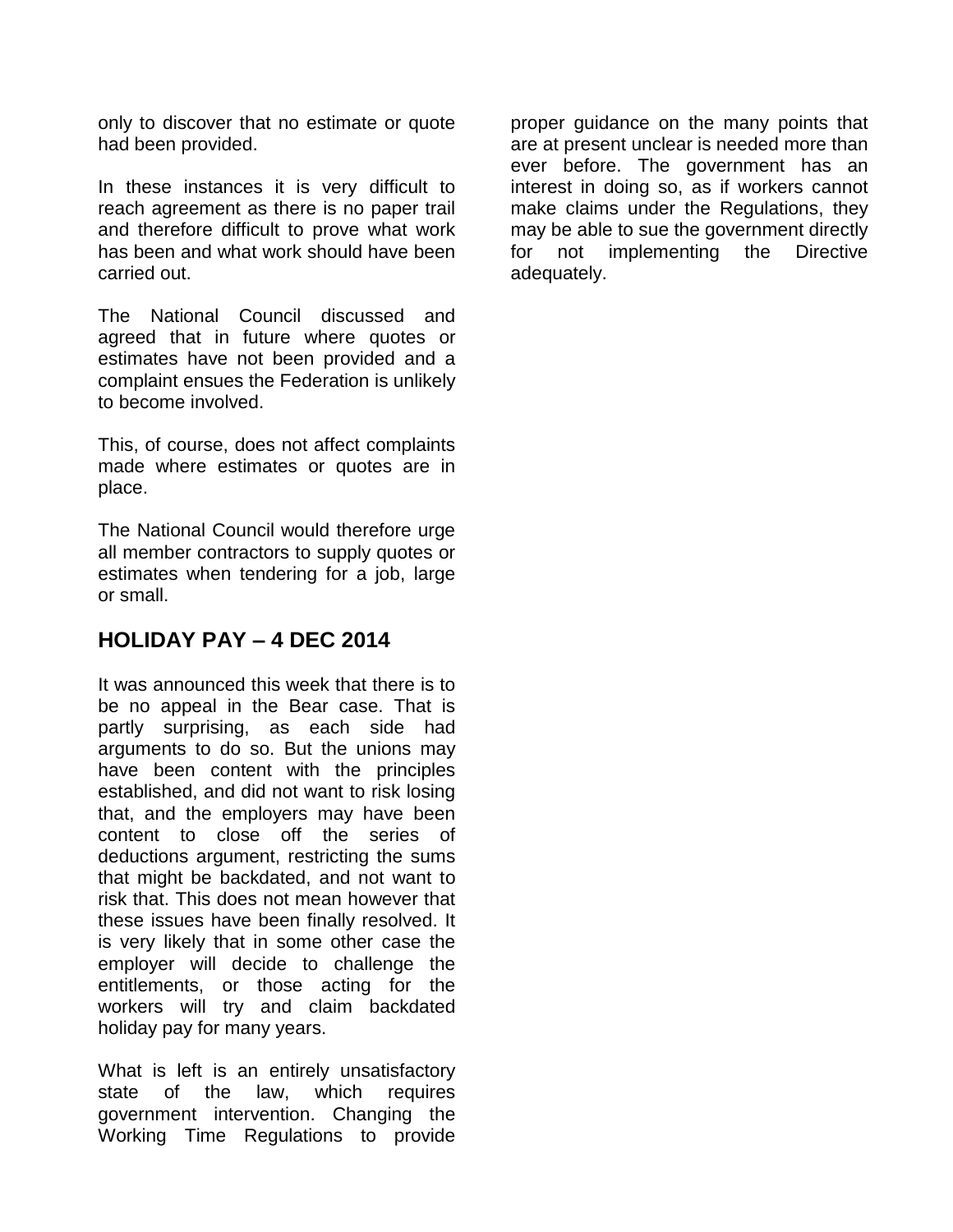only to discover that no estimate or quote had been provided.

In these instances it is very difficult to reach agreement as there is no paper trail and therefore difficult to prove what work has been and what work should have been carried out.

The National Council discussed and agreed that in future where quotes or estimates have not been provided and a complaint ensues the Federation is unlikely to become involved.

This, of course, does not affect complaints made where estimates or quotes are in place.

The National Council would therefore urge all member contractors to supply quotes or estimates when tendering for a job, large or small.

#### **HOLIDAY PAY – 4 DEC 2014**

It was announced this week that there is to be no appeal in the Bear case. That is partly surprising, as each side had arguments to do so. But the unions may have been content with the principles established, and did not want to risk losing that, and the employers may have been content to close off the series of deductions argument, restricting the sums that might be backdated, and not want to risk that. This does not mean however that these issues have been finally resolved. It is very likely that in some other case the employer will decide to challenge the entitlements, or those acting for the workers will try and claim backdated holiday pay for many years.

What is left is an entirely unsatisfactory state of the law, which requires government intervention. Changing the Working Time Regulations to provide

proper guidance on the many points that are at present unclear is needed more than ever before. The government has an interest in doing so, as if workers cannot make claims under the Regulations, they may be able to sue the government directly for not implementing the Directive adequately.